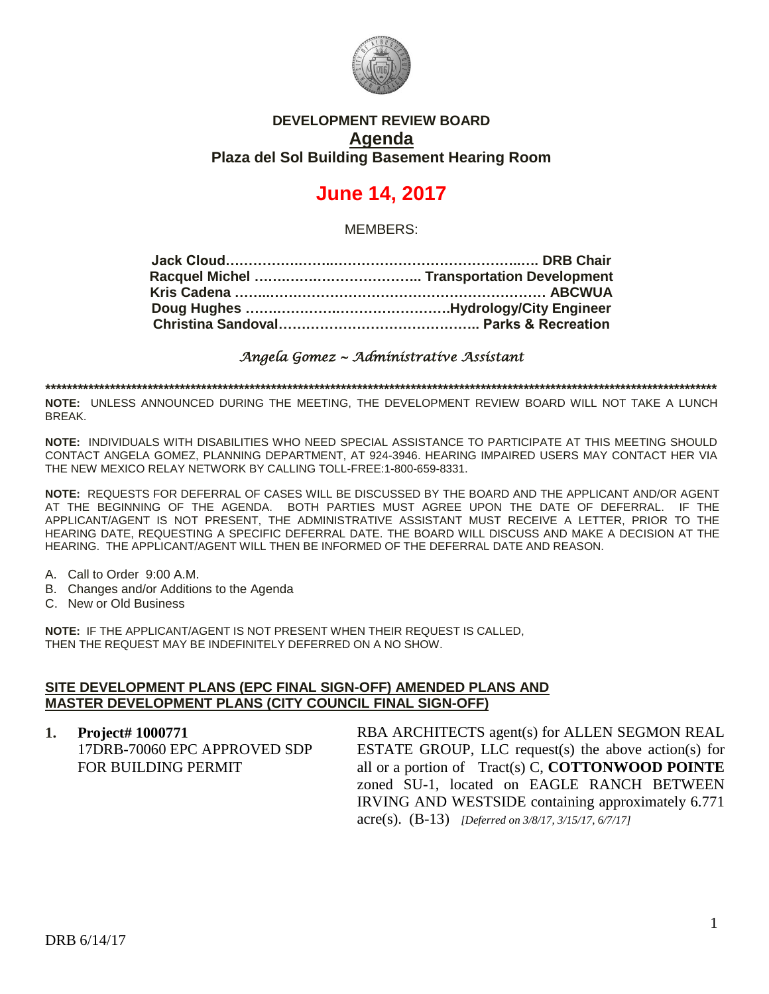

# **DEVELOPMENT REVIEW BOARD Agenda Plaza del Sol Building Basement Hearing Room**

# **June 14, 2017**

MEMBERS:

*Angela Gomez ~ Administrative Assistant* 

**\*\*\*\*\*\*\*\*\*\*\*\*\*\*\*\*\*\*\*\*\*\*\*\*\*\*\*\*\*\*\*\*\*\*\*\*\*\*\*\*\*\*\*\*\*\*\*\*\*\*\*\*\*\*\*\*\*\*\*\*\*\*\*\*\*\*\*\*\*\*\*\*\*\*\*\*\*\*\*\*\*\*\*\*\*\*\*\*\*\*\*\*\*\*\*\*\*\*\*\*\*\*\*\*\*\*\*\*\*\*\*\*\*\*\*\*\*\*\*\*\*\*\*\*\***

**NOTE:** UNLESS ANNOUNCED DURING THE MEETING, THE DEVELOPMENT REVIEW BOARD WILL NOT TAKE A LUNCH BREAK.

**NOTE:** INDIVIDUALS WITH DISABILITIES WHO NEED SPECIAL ASSISTANCE TO PARTICIPATE AT THIS MEETING SHOULD CONTACT ANGELA GOMEZ, PLANNING DEPARTMENT, AT 924-3946. HEARING IMPAIRED USERS MAY CONTACT HER VIA THE NEW MEXICO RELAY NETWORK BY CALLING TOLL-FREE:1-800-659-8331.

**NOTE:** REQUESTS FOR DEFERRAL OF CASES WILL BE DISCUSSED BY THE BOARD AND THE APPLICANT AND/OR AGENT AT THE BEGINNING OF THE AGENDA. BOTH PARTIES MUST AGREE UPON THE DATE OF DEFERRAL. IF THE APPLICANT/AGENT IS NOT PRESENT, THE ADMINISTRATIVE ASSISTANT MUST RECEIVE A LETTER, PRIOR TO THE HEARING DATE, REQUESTING A SPECIFIC DEFERRAL DATE. THE BOARD WILL DISCUSS AND MAKE A DECISION AT THE HEARING. THE APPLICANT/AGENT WILL THEN BE INFORMED OF THE DEFERRAL DATE AND REASON.

- A. Call to Order 9:00 A.M.
- B. Changes and/or Additions to the Agenda
- C. New or Old Business

**NOTE:** IF THE APPLICANT/AGENT IS NOT PRESENT WHEN THEIR REQUEST IS CALLED, THEN THE REQUEST MAY BE INDEFINITELY DEFERRED ON A NO SHOW.

#### **SITE DEVELOPMENT PLANS (EPC FINAL SIGN-OFF) AMENDED PLANS AND MASTER DEVELOPMENT PLANS (CITY COUNCIL FINAL SIGN-OFF)**

**1. Project# 1000771** 17DRB-70060 EPC APPROVED SDP FOR BUILDING PERMIT RBA ARCHITECTS agent(s) for ALLEN SEGMON REAL ESTATE GROUP, LLC request(s) the above action(s) for all or a portion of Tract(s) C, **COTTONWOOD POINTE** zoned SU-1, located on EAGLE RANCH BETWEEN IRVING AND WESTSIDE containing approximately 6.771 acre(s). (B-13) *[Deferred on 3/8/17, 3/15/17, 6/7/17]*